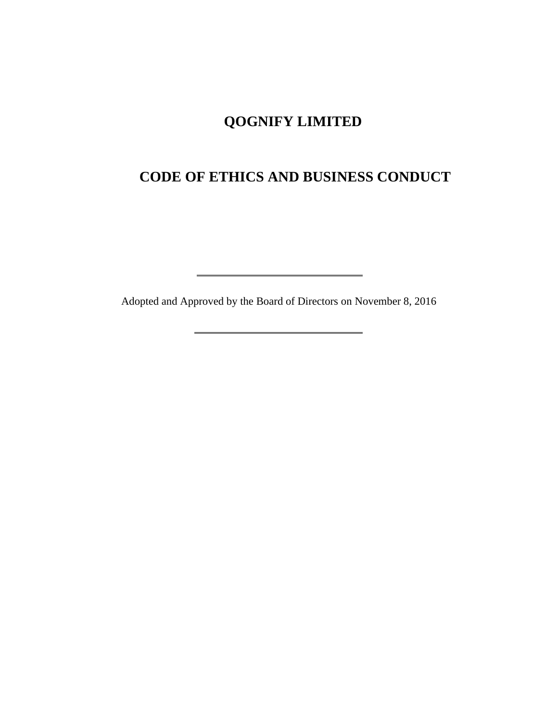# **QOGNIFY LIMITED**

# **CODE OF ETHICS AND BUSINESS CONDUCT**

Adopted and Approved by the Board of Directors on November 8, 2016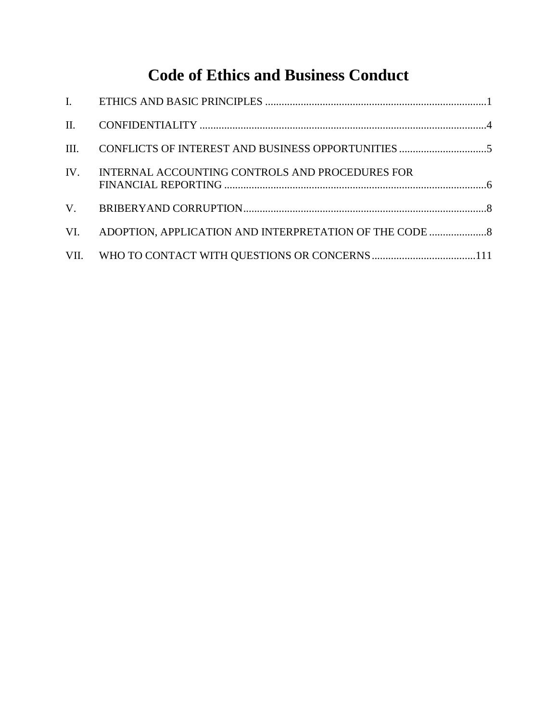# **Code of Ethics and Business Conduct**

| IV. | INTERNAL ACCOUNTING CONTROLS AND PROCEDURES FOR |  |
|-----|-------------------------------------------------|--|
|     |                                                 |  |
|     |                                                 |  |
|     |                                                 |  |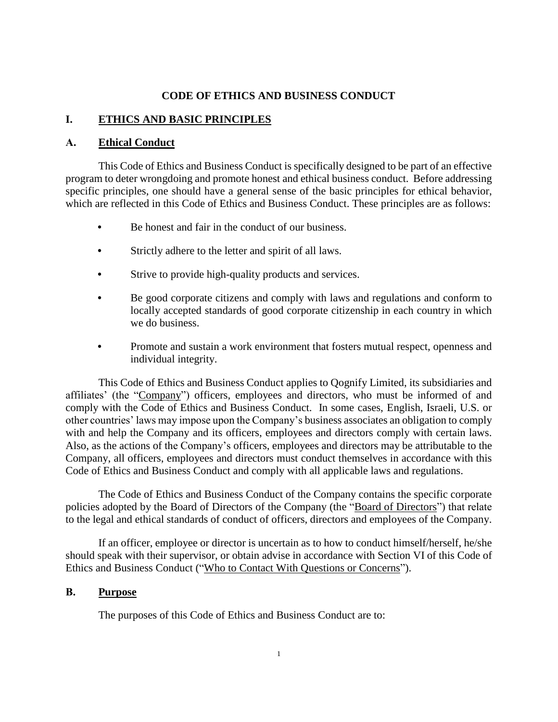#### **CODE OF ETHICS AND BUSINESS CONDUCT**

#### **I. ETHICS AND BASIC PRINCIPLES**

#### **A. Ethical Conduct**

This Code of Ethics and Business Conduct is specifically designed to be part of an effective program to deter wrongdoing and promote honest and ethical business conduct. Before addressing specific principles, one should have a general sense of the basic principles for ethical behavior, which are reflected in this Code of Ethics and Business Conduct. These principles are as follows:

- **•** Be honest and fair in the conduct of our business.
- **•** Strictly adhere to the letter and spirit of all laws.
- **•** Strive to provide high-quality products and services.
- **•** Be good corporate citizens and comply with laws and regulations and conform to locally accepted standards of good corporate citizenship in each country in which we do business.
- **•** Promote and sustain a work environment that fosters mutual respect, openness and individual integrity.

This Code of Ethics and Business Conduct applies to Qognify Limited, its subsidiaries and affiliates' (the "Company") officers, employees and directors, who must be informed of and comply with the Code of Ethics and Business Conduct. In some cases, English, Israeli, U.S. or other countries' laws may impose upon the Company's business associates an obligation to comply with and help the Company and its officers, employees and directors comply with certain laws. Also, as the actions of the Company's officers, employees and directors may be attributable to the Company, all officers, employees and directors must conduct themselves in accordance with this Code of Ethics and Business Conduct and comply with all applicable laws and regulations.

The Code of Ethics and Business Conduct of the Company contains the specific corporate policies adopted by the Board of Directors of the Company (the "Board of Directors") that relate to the legal and ethical standards of conduct of officers, directors and employees of the Company.

If an officer, employee or director is uncertain as to how to conduct himself/herself, he/she should speak with their supervisor, or obtain advise in accordance with Section VI of this Code of Ethics and Business Conduct ("Who to Contact With Questions or Concerns").

#### **B. Purpose**

The purposes of this Code of Ethics and Business Conduct are to: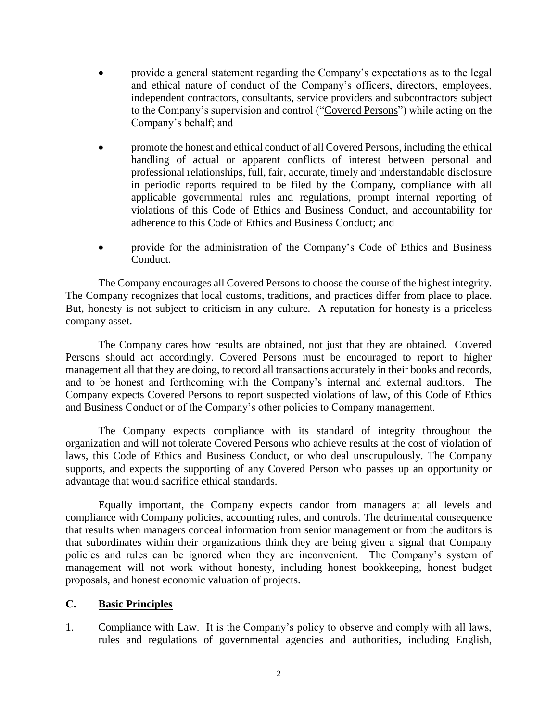- provide a general statement regarding the Company's expectations as to the legal and ethical nature of conduct of the Company's officers, directors, employees, independent contractors, consultants, service providers and subcontractors subject to the Company's supervision and control ("Covered Persons") while acting on the Company's behalf; and
- promote the honest and ethical conduct of all Covered Persons, including the ethical handling of actual or apparent conflicts of interest between personal and professional relationships, full, fair, accurate, timely and understandable disclosure in periodic reports required to be filed by the Company, compliance with all applicable governmental rules and regulations, prompt internal reporting of violations of this Code of Ethics and Business Conduct, and accountability for adherence to this Code of Ethics and Business Conduct; and
- provide for the administration of the Company's Code of Ethics and Business Conduct.

The Company encourages all Covered Persons to choose the course of the highest integrity. The Company recognizes that local customs, traditions, and practices differ from place to place. But, honesty is not subject to criticism in any culture. A reputation for honesty is a priceless company asset.

The Company cares how results are obtained, not just that they are obtained. Covered Persons should act accordingly. Covered Persons must be encouraged to report to higher management all that they are doing, to record all transactions accurately in their books and records, and to be honest and forthcoming with the Company's internal and external auditors. The Company expects Covered Persons to report suspected violations of law, of this Code of Ethics and Business Conduct or of the Company's other policies to Company management.

The Company expects compliance with its standard of integrity throughout the organization and will not tolerate Covered Persons who achieve results at the cost of violation of laws, this Code of Ethics and Business Conduct, or who deal unscrupulously. The Company supports, and expects the supporting of any Covered Person who passes up an opportunity or advantage that would sacrifice ethical standards.

Equally important, the Company expects candor from managers at all levels and compliance with Company policies, accounting rules, and controls. The detrimental consequence that results when managers conceal information from senior management or from the auditors is that subordinates within their organizations think they are being given a signal that Company policies and rules can be ignored when they are inconvenient. The Company's system of management will not work without honesty, including honest bookkeeping, honest budget proposals, and honest economic valuation of projects.

#### **C. Basic Principles**

1. Compliance with Law. It is the Company's policy to observe and comply with all laws, rules and regulations of governmental agencies and authorities, including English,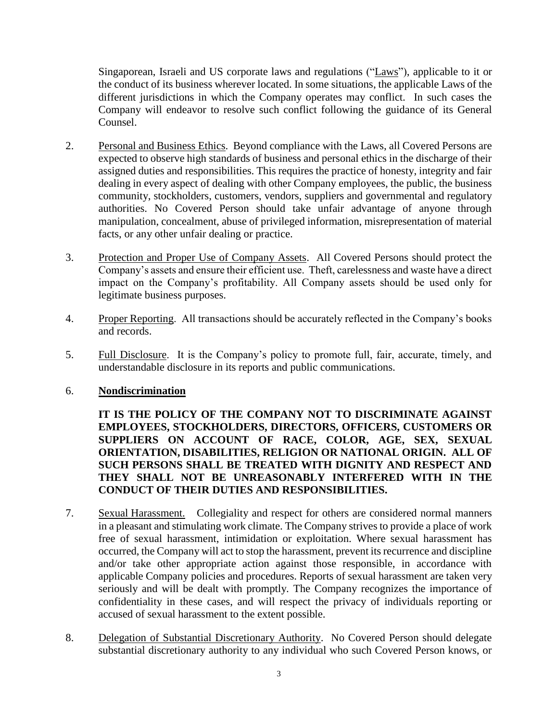Singaporean, Israeli and US corporate laws and regulations ("Laws"), applicable to it or the conduct of its business wherever located. In some situations, the applicable Laws of the different jurisdictions in which the Company operates may conflict. In such cases the Company will endeavor to resolve such conflict following the guidance of its General Counsel.

- 2. Personal and Business Ethics. Beyond compliance with the Laws, all Covered Persons are expected to observe high standards of business and personal ethics in the discharge of their assigned duties and responsibilities. This requires the practice of honesty, integrity and fair dealing in every aspect of dealing with other Company employees, the public, the business community, stockholders, customers, vendors, suppliers and governmental and regulatory authorities. No Covered Person should take unfair advantage of anyone through manipulation, concealment, abuse of privileged information, misrepresentation of material facts, or any other unfair dealing or practice.
- 3. Protection and Proper Use of Company Assets. All Covered Persons should protect the Company's assets and ensure their efficient use. Theft, carelessness and waste have a direct impact on the Company's profitability. All Company assets should be used only for legitimate business purposes.
- 4. Proper Reporting. All transactions should be accurately reflected in the Company's books and records.
- 5. Full Disclosure. It is the Company's policy to promote full, fair, accurate, timely, and understandable disclosure in its reports and public communications.

#### 6. **Nondiscrimination**

**IT IS THE POLICY OF THE COMPANY NOT TO DISCRIMINATE AGAINST EMPLOYEES, STOCKHOLDERS, DIRECTORS, OFFICERS, CUSTOMERS OR SUPPLIERS ON ACCOUNT OF RACE, COLOR, AGE, SEX, SEXUAL ORIENTATION, DISABILITIES, RELIGION OR NATIONAL ORIGIN. ALL OF SUCH PERSONS SHALL BE TREATED WITH DIGNITY AND RESPECT AND THEY SHALL NOT BE UNREASONABLY INTERFERED WITH IN THE CONDUCT OF THEIR DUTIES AND RESPONSIBILITIES.**

- 7. Sexual Harassment. Collegiality and respect for others are considered normal manners in a pleasant and stimulating work climate. The Company strives to provide a place of work free of sexual harassment, intimidation or exploitation. Where sexual harassment has occurred, the Company will act to stop the harassment, prevent its recurrence and discipline and/or take other appropriate action against those responsible, in accordance with applicable Company policies and procedures. Reports of sexual harassment are taken very seriously and will be dealt with promptly. The Company recognizes the importance of confidentiality in these cases, and will respect the privacy of individuals reporting or accused of sexual harassment to the extent possible.
- 8. Delegation of Substantial Discretionary Authority. No Covered Person should delegate substantial discretionary authority to any individual who such Covered Person knows, or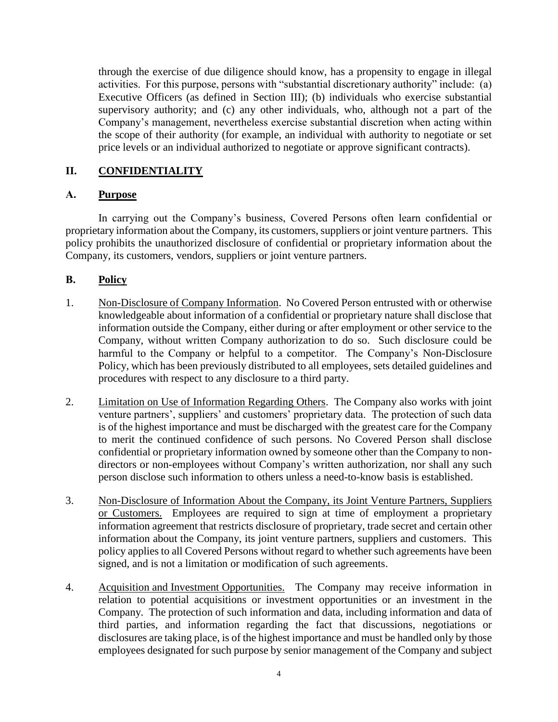through the exercise of due diligence should know, has a propensity to engage in illegal activities. For this purpose, persons with "substantial discretionary authority" include: (a) Executive Officers (as defined in Section III); (b) individuals who exercise substantial supervisory authority; and (c) any other individuals, who, although not a part of the Company's management, nevertheless exercise substantial discretion when acting within the scope of their authority (for example, an individual with authority to negotiate or set price levels or an individual authorized to negotiate or approve significant contracts).

## **II. CONFIDENTIALITY**

#### **A. Purpose**

In carrying out the Company's business, Covered Persons often learn confidential or proprietary information about the Company, its customers, suppliers or joint venture partners. This policy prohibits the unauthorized disclosure of confidential or proprietary information about the Company, its customers, vendors, suppliers or joint venture partners.

#### **B. Policy**

- 1. Non-Disclosure of Company Information. No Covered Person entrusted with or otherwise knowledgeable about information of a confidential or proprietary nature shall disclose that information outside the Company, either during or after employment or other service to the Company, without written Company authorization to do so. Such disclosure could be harmful to the Company or helpful to a competitor. The Company's Non-Disclosure Policy, which has been previously distributed to all employees, sets detailed guidelines and procedures with respect to any disclosure to a third party.
- 2. Limitation on Use of Information Regarding Others. The Company also works with joint venture partners', suppliers' and customers' proprietary data. The protection of such data is of the highest importance and must be discharged with the greatest care for the Company to merit the continued confidence of such persons. No Covered Person shall disclose confidential or proprietary information owned by someone other than the Company to nondirectors or non-employees without Company's written authorization, nor shall any such person disclose such information to others unless a need-to-know basis is established.
- 3. Non-Disclosure of Information About the Company, its Joint Venture Partners, Suppliers or Customers. Employees are required to sign at time of employment a proprietary information agreement that restricts disclosure of proprietary, trade secret and certain other information about the Company, its joint venture partners, suppliers and customers. This policy applies to all Covered Persons without regard to whether such agreements have been signed, and is not a limitation or modification of such agreements.
- 4. Acquisition and Investment Opportunities. The Company may receive information in relation to potential acquisitions or investment opportunities or an investment in the Company. The protection of such information and data, including information and data of third parties, and information regarding the fact that discussions, negotiations or disclosures are taking place, is of the highest importance and must be handled only by those employees designated for such purpose by senior management of the Company and subject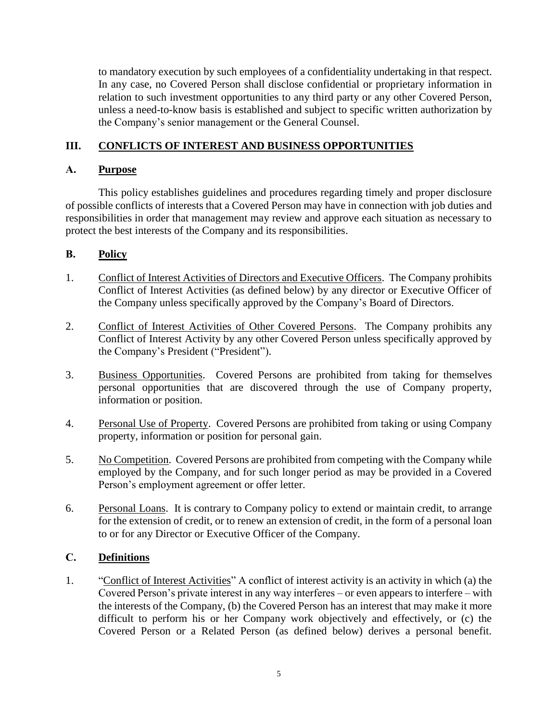to mandatory execution by such employees of a confidentiality undertaking in that respect. In any case, no Covered Person shall disclose confidential or proprietary information in relation to such investment opportunities to any third party or any other Covered Person, unless a need-to-know basis is established and subject to specific written authorization by the Company's senior management or the General Counsel.

## **III. CONFLICTS OF INTEREST AND BUSINESS OPPORTUNITIES**

#### **A. Purpose**

This policy establishes guidelines and procedures regarding timely and proper disclosure of possible conflicts of interests that a Covered Person may have in connection with job duties and responsibilities in order that management may review and approve each situation as necessary to protect the best interests of the Company and its responsibilities.

# **B. Policy**

- 1. Conflict of Interest Activities of Directors and Executive Officers. The Company prohibits Conflict of Interest Activities (as defined below) by any director or Executive Officer of the Company unless specifically approved by the Company's Board of Directors.
- 2. Conflict of Interest Activities of Other Covered Persons. The Company prohibits any Conflict of Interest Activity by any other Covered Person unless specifically approved by the Company's President ("President").
- 3. Business Opportunities. Covered Persons are prohibited from taking for themselves personal opportunities that are discovered through the use of Company property, information or position.
- 4. Personal Use of Property. Covered Persons are prohibited from taking or using Company property, information or position for personal gain.
- 5. No Competition. Covered Persons are prohibited from competing with the Company while employed by the Company, and for such longer period as may be provided in a Covered Person's employment agreement or offer letter.
- 6. Personal Loans. It is contrary to Company policy to extend or maintain credit, to arrange for the extension of credit, or to renew an extension of credit, in the form of a personal loan to or for any Director or Executive Officer of the Company.

#### **C. Definitions**

1. "Conflict of Interest Activities" A conflict of interest activity is an activity in which (a) the Covered Person's private interest in any way interferes – or even appears to interfere – with the interests of the Company, (b) the Covered Person has an interest that may make it more difficult to perform his or her Company work objectively and effectively, or (c) the Covered Person or a Related Person (as defined below) derives a personal benefit.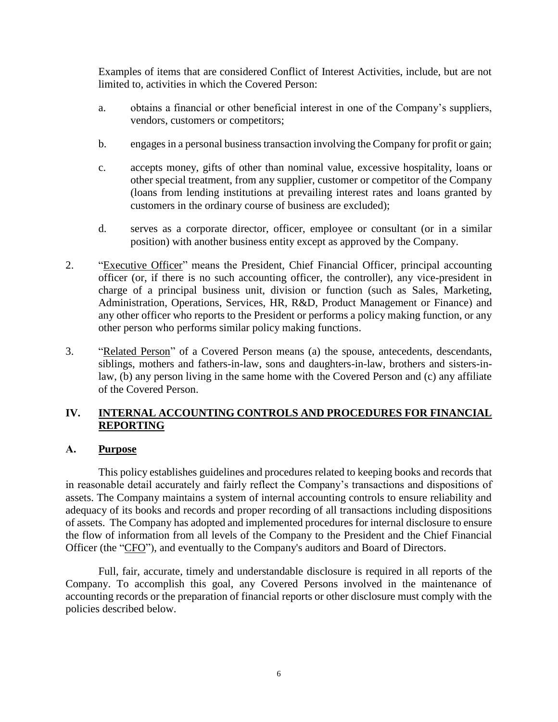Examples of items that are considered Conflict of Interest Activities, include, but are not limited to, activities in which the Covered Person:

- a. obtains a financial or other beneficial interest in one of the Company's suppliers, vendors, customers or competitors;
- b. engages in a personal business transaction involving the Company for profit or gain;
- c. accepts money, gifts of other than nominal value, excessive hospitality, loans or other special treatment, from any supplier, customer or competitor of the Company (loans from lending institutions at prevailing interest rates and loans granted by customers in the ordinary course of business are excluded);
- d. serves as a corporate director, officer, employee or consultant (or in a similar position) with another business entity except as approved by the Company.
- 2. "Executive Officer" means the President, Chief Financial Officer, principal accounting officer (or, if there is no such accounting officer, the controller), any vice-president in charge of a principal business unit, division or function (such as Sales, Marketing, Administration, Operations, Services, HR, R&D, Product Management or Finance) and any other officer who reports to the President or performs a policy making function, or any other person who performs similar policy making functions.
- 3. "Related Person" of a Covered Person means (a) the spouse, antecedents, descendants, siblings, mothers and fathers-in-law, sons and daughters-in-law, brothers and sisters-inlaw, (b) any person living in the same home with the Covered Person and (c) any affiliate of the Covered Person.

# **IV. INTERNAL ACCOUNTING CONTROLS AND PROCEDURES FOR FINANCIAL REPORTING**

#### **A. Purpose**

This policy establishes guidelines and procedures related to keeping books and records that in reasonable detail accurately and fairly reflect the Company's transactions and dispositions of assets. The Company maintains a system of internal accounting controls to ensure reliability and adequacy of its books and records and proper recording of all transactions including dispositions of assets. The Company has adopted and implemented procedures for internal disclosure to ensure the flow of information from all levels of the Company to the President and the Chief Financial Officer (the "CFO"), and eventually to the Company's auditors and Board of Directors.

Full, fair, accurate, timely and understandable disclosure is required in all reports of the Company. To accomplish this goal, any Covered Persons involved in the maintenance of accounting records or the preparation of financial reports or other disclosure must comply with the policies described below.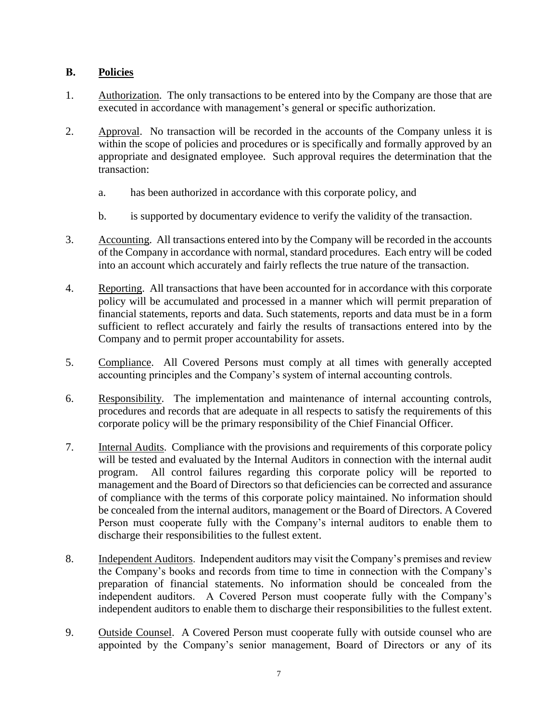# **B. Policies**

- 1. Authorization. The only transactions to be entered into by the Company are those that are executed in accordance with management's general or specific authorization.
- 2. Approval. No transaction will be recorded in the accounts of the Company unless it is within the scope of policies and procedures or is specifically and formally approved by an appropriate and designated employee. Such approval requires the determination that the transaction:
	- a. has been authorized in accordance with this corporate policy, and
	- b. is supported by documentary evidence to verify the validity of the transaction.
- 3. Accounting. All transactions entered into by the Company will be recorded in the accounts of the Company in accordance with normal, standard procedures. Each entry will be coded into an account which accurately and fairly reflects the true nature of the transaction.
- 4. Reporting. All transactions that have been accounted for in accordance with this corporate policy will be accumulated and processed in a manner which will permit preparation of financial statements, reports and data. Such statements, reports and data must be in a form sufficient to reflect accurately and fairly the results of transactions entered into by the Company and to permit proper accountability for assets.
- 5. Compliance. All Covered Persons must comply at all times with generally accepted accounting principles and the Company's system of internal accounting controls.
- 6. Responsibility. The implementation and maintenance of internal accounting controls, procedures and records that are adequate in all respects to satisfy the requirements of this corporate policy will be the primary responsibility of the Chief Financial Officer.
- 7. Internal Audits. Compliance with the provisions and requirements of this corporate policy will be tested and evaluated by the Internal Auditors in connection with the internal audit program. All control failures regarding this corporate policy will be reported to management and the Board of Directors so that deficiencies can be corrected and assurance of compliance with the terms of this corporate policy maintained. No information should be concealed from the internal auditors, management or the Board of Directors. A Covered Person must cooperate fully with the Company's internal auditors to enable them to discharge their responsibilities to the fullest extent.
- 8. Independent Auditors. Independent auditors may visit the Company's premises and review the Company's books and records from time to time in connection with the Company's preparation of financial statements. No information should be concealed from the independent auditors. A Covered Person must cooperate fully with the Company's independent auditors to enable them to discharge their responsibilities to the fullest extent.
- 9. Outside Counsel. A Covered Person must cooperate fully with outside counsel who are appointed by the Company's senior management, Board of Directors or any of its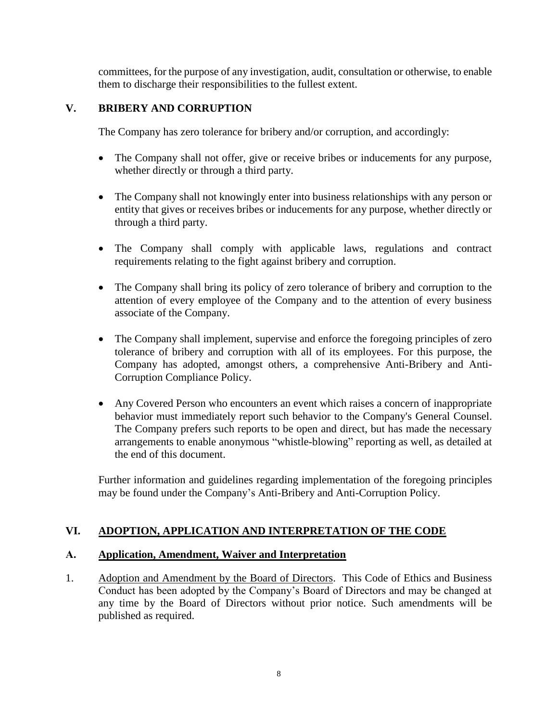committees, for the purpose of any investigation, audit, consultation or otherwise, to enable them to discharge their responsibilities to the fullest extent.

# **V. BRIBERY AND CORRUPTION**

The Company has zero tolerance for bribery and/or corruption, and accordingly:

- The Company shall not offer, give or receive bribes or inducements for any purpose, whether directly or through a third party.
- The Company shall not knowingly enter into business relationships with any person or entity that gives or receives bribes or inducements for any purpose, whether directly or through a third party.
- The Company shall comply with applicable laws, regulations and contract requirements relating to the fight against bribery and corruption.
- The Company shall bring its policy of zero tolerance of bribery and corruption to the attention of every employee of the Company and to the attention of every business associate of the Company.
- The Company shall implement, supervise and enforce the foregoing principles of zero tolerance of bribery and corruption with all of its employees. For this purpose, the Company has adopted, amongst others, a comprehensive Anti-Bribery and Anti-Corruption Compliance Policy.
- Any Covered Person who encounters an event which raises a concern of inappropriate behavior must immediately report such behavior to the Company's General Counsel. The Company prefers such reports to be open and direct, but has made the necessary arrangements to enable anonymous "whistle-blowing" reporting as well, as detailed at the end of this document.

Further information and guidelines regarding implementation of the foregoing principles may be found under the Company's Anti-Bribery and Anti-Corruption Policy.

#### **VI. ADOPTION, APPLICATION AND INTERPRETATION OF THE CODE**

#### **A. Application, Amendment, Waiver and Interpretation**

1. Adoption and Amendment by the Board of Directors. This Code of Ethics and Business Conduct has been adopted by the Company's Board of Directors and may be changed at any time by the Board of Directors without prior notice. Such amendments will be published as required.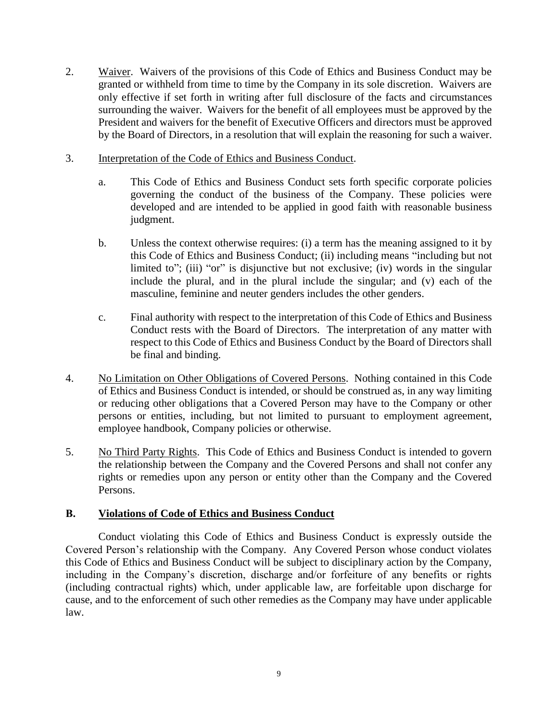- 2. Waiver. Waivers of the provisions of this Code of Ethics and Business Conduct may be granted or withheld from time to time by the Company in its sole discretion. Waivers are only effective if set forth in writing after full disclosure of the facts and circumstances surrounding the waiver. Waivers for the benefit of all employees must be approved by the President and waivers for the benefit of Executive Officers and directors must be approved by the Board of Directors, in a resolution that will explain the reasoning for such a waiver.
- 3. Interpretation of the Code of Ethics and Business Conduct.
	- a. This Code of Ethics and Business Conduct sets forth specific corporate policies governing the conduct of the business of the Company. These policies were developed and are intended to be applied in good faith with reasonable business judgment.
	- b. Unless the context otherwise requires: (i) a term has the meaning assigned to it by this Code of Ethics and Business Conduct; (ii) including means "including but not limited to"; (iii) "or" is disjunctive but not exclusive; (iv) words in the singular include the plural, and in the plural include the singular; and (v) each of the masculine, feminine and neuter genders includes the other genders.
	- c. Final authority with respect to the interpretation of this Code of Ethics and Business Conduct rests with the Board of Directors. The interpretation of any matter with respect to this Code of Ethics and Business Conduct by the Board of Directors shall be final and binding.
- 4. No Limitation on Other Obligations of Covered Persons. Nothing contained in this Code of Ethics and Business Conduct is intended, or should be construed as, in any way limiting or reducing other obligations that a Covered Person may have to the Company or other persons or entities, including, but not limited to pursuant to employment agreement, employee handbook, Company policies or otherwise.
- 5. No Third Party Rights. This Code of Ethics and Business Conduct is intended to govern the relationship between the Company and the Covered Persons and shall not confer any rights or remedies upon any person or entity other than the Company and the Covered Persons.

#### **B. Violations of Code of Ethics and Business Conduct**

Conduct violating this Code of Ethics and Business Conduct is expressly outside the Covered Person's relationship with the Company. Any Covered Person whose conduct violates this Code of Ethics and Business Conduct will be subject to disciplinary action by the Company, including in the Company's discretion, discharge and/or forfeiture of any benefits or rights (including contractual rights) which, under applicable law, are forfeitable upon discharge for cause, and to the enforcement of such other remedies as the Company may have under applicable law.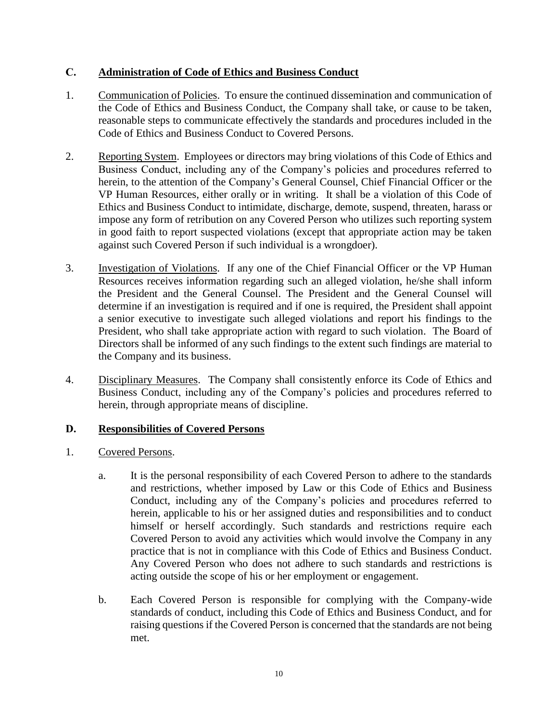#### **C. Administration of Code of Ethics and Business Conduct**

- 1. Communication of Policies. To ensure the continued dissemination and communication of the Code of Ethics and Business Conduct, the Company shall take, or cause to be taken, reasonable steps to communicate effectively the standards and procedures included in the Code of Ethics and Business Conduct to Covered Persons.
- 2. Reporting System. Employees or directors may bring violations of this Code of Ethics and Business Conduct, including any of the Company's policies and procedures referred to herein, to the attention of the Company's General Counsel, Chief Financial Officer or the VP Human Resources, either orally or in writing. It shall be a violation of this Code of Ethics and Business Conduct to intimidate, discharge, demote, suspend, threaten, harass or impose any form of retribution on any Covered Person who utilizes such reporting system in good faith to report suspected violations (except that appropriate action may be taken against such Covered Person if such individual is a wrongdoer).
- 3. Investigation of Violations. If any one of the Chief Financial Officer or the VP Human Resources receives information regarding such an alleged violation, he/she shall inform the President and the General Counsel. The President and the General Counsel will determine if an investigation is required and if one is required, the President shall appoint a senior executive to investigate such alleged violations and report his findings to the President, who shall take appropriate action with regard to such violation. The Board of Directors shall be informed of any such findings to the extent such findings are material to the Company and its business.
- 4. Disciplinary Measures. The Company shall consistently enforce its Code of Ethics and Business Conduct, including any of the Company's policies and procedures referred to herein, through appropriate means of discipline.

#### **D. Responsibilities of Covered Persons**

- 1. Covered Persons.
	- a. It is the personal responsibility of each Covered Person to adhere to the standards and restrictions, whether imposed by Law or this Code of Ethics and Business Conduct, including any of the Company's policies and procedures referred to herein, applicable to his or her assigned duties and responsibilities and to conduct himself or herself accordingly. Such standards and restrictions require each Covered Person to avoid any activities which would involve the Company in any practice that is not in compliance with this Code of Ethics and Business Conduct. Any Covered Person who does not adhere to such standards and restrictions is acting outside the scope of his or her employment or engagement.
	- b. Each Covered Person is responsible for complying with the Company-wide standards of conduct, including this Code of Ethics and Business Conduct, and for raising questions if the Covered Person is concerned that the standards are not being met.